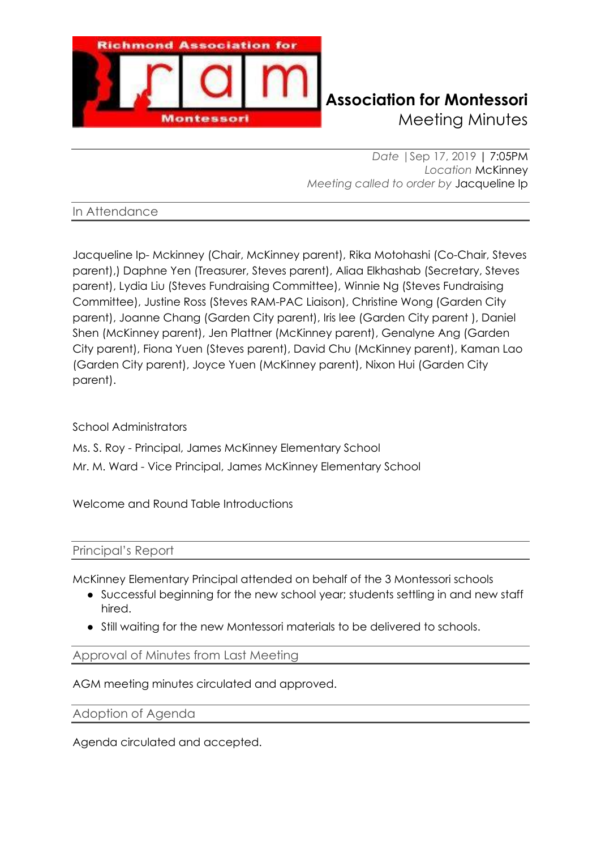

# **Richmond Association for Montessori** Meeting Minutes

*Date |*Sep 17, 2019 | 7:05PM *Location* McKinney *Meeting called to order by* Jacqueline Ip

# In Attendance

Jacqueline Ip- Mckinney (Chair, McKinney parent), Rika Motohashi (Co-Chair, Steves parent),) Daphne Yen (Treasurer, Steves parent), Aliaa Elkhashab (Secretary, Steves parent), Lydia Liu (Steves Fundraising Committee), Winnie Ng (Steves Fundraising Committee), Justine Ross (Steves RAM-PAC Liaison), Christine Wong (Garden City parent), Joanne Chang (Garden City parent), Iris lee (Garden City parent ), Daniel Shen (McKinney parent), Jen Plattner (McKinney parent), Genalyne Ang (Garden City parent), Fiona Yuen (Steves parent), David Chu (McKinney parent), Kaman Lao (Garden City parent), Joyce Yuen (McKinney parent), Nixon Hui (Garden City parent).

# School Administrators

Ms. S. Roy - Principal, James McKinney Elementary School Mr. M. Ward - Vice Principal, James McKinney Elementary School

Welcome and Round Table Introductions

# Principal's Report

McKinney Elementary Principal attended on behalf of the 3 Montessori schools

- Successful beginning for the new school year; students settling in and new staff hired.
- Still waiting for the new Montessori materials to be delivered to schools.

#### Approval of Minutes from Last Meeting

AGM meeting minutes circulated and approved.

Adoption of Agenda

Agenda circulated and accepted.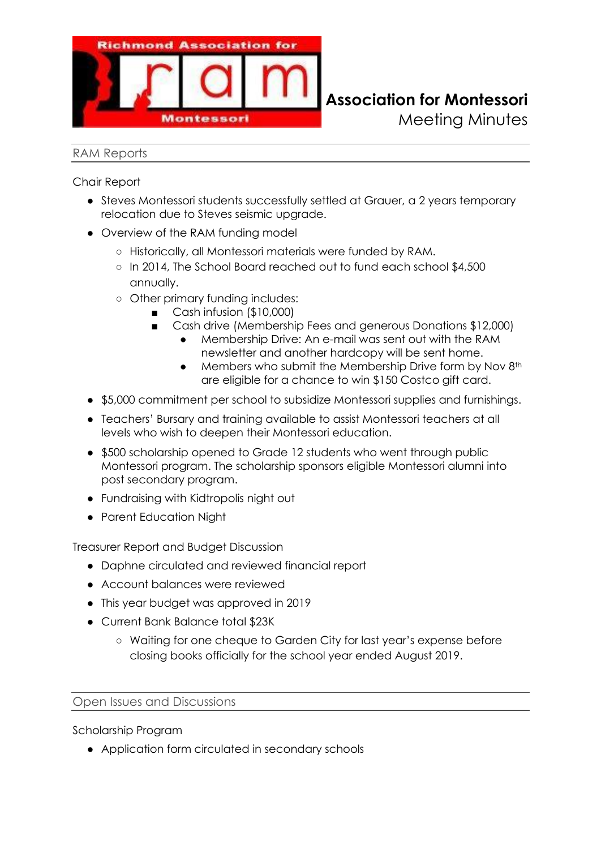

#### RAM Reports

Chair Report

- Steves Montessori students successfully settled at Grauer, a 2 years temporary relocation due to Steves seismic upgrade.
- Overview of the RAM funding model
	- Historically, all Montessori materials were funded by RAM.
	- In 2014, The School Board reached out to fund each school \$4,500 annually.
	- Other primary funding includes:
		- Cash infusion (\$10,000)
			- Cash drive (Membership Fees and generous Donations \$12,000)
				- Membership Drive: An e-mail was sent out with the RAM newsletter and another hardcopy will be sent home.
				- Members who submit the Membership Drive form by Nov 8<sup>th</sup> are eligible for a chance to win \$150 Costco gift card.

Meeting Minutes

- \$5,000 commitment per school to subsidize Montessori supplies and furnishings.
- Teachers' Bursary and training available to assist Montessori teachers at all levels who wish to deepen their Montessori education.
- \$500 scholarship opened to Grade 12 students who went through public Montessori program. The scholarship sponsors eligible Montessori alumni into post secondary program.
- Fundraising with Kidtropolis night out
- Parent Education Night

Treasurer Report and Budget Discussion

- Daphne circulated and reviewed financial report
- Account balances were reviewed
- This year budget was approved in 2019
- Current Bank Balance total \$23K
	- Waiting for one cheque to Garden City for last year's expense before closing books officially for the school year ended August 2019.

#### Open Issues and Discussions

Scholarship Program

● Application form circulated in secondary schools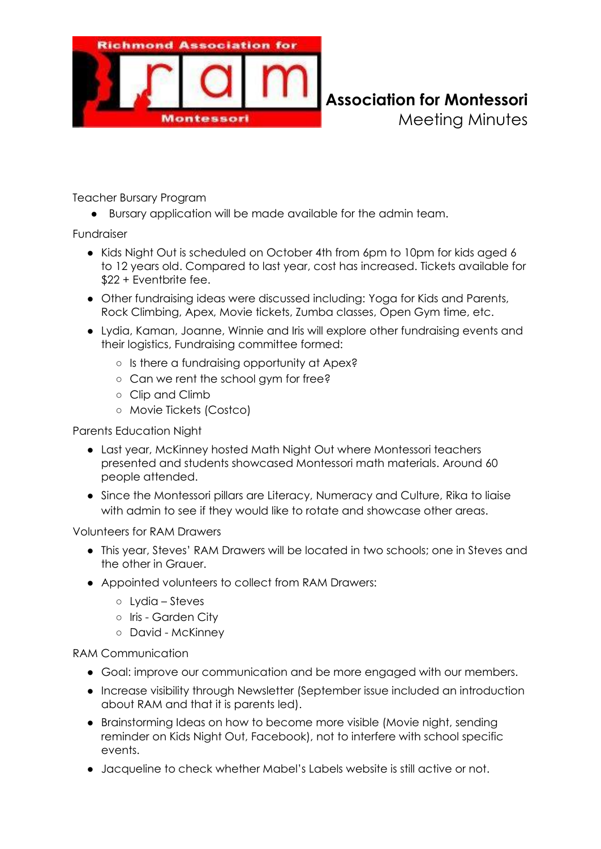

**Richmond Association for Montessori** Meeting Minutes

Teacher Bursary Program

Bursary application will be made available for the admin team.

Fundraiser

- Kids Night Out is scheduled on October 4th from 6pm to 10pm for kids aged 6 to 12 years old. Compared to last year, cost has increased. Tickets available for \$22 + Eventbrite fee.
- Other fundraising ideas were discussed including: Yoga for Kids and Parents, Rock Climbing, Apex, Movie tickets, Zumba classes, Open Gym time, etc.
- Lydia, Kaman, Joanne, Winnie and Iris will explore other fundraising events and their logistics, Fundraising committee formed:
	- Is there a fundraising opportunity at Apex?
	- Can we rent the school gym for free?
	- Clip and Climb
	- Movie Tickets (Costco)

Parents Education Night

- Last year, McKinney hosted Math Night Out where Montessori teachers presented and students showcased Montessori math materials. Around 60 people attended.
- Since the Montessori pillars are Literacy, Numeracy and Culture, Rika to liaise with admin to see if they would like to rotate and showcase other areas.

Volunteers for RAM Drawers

- This year, Steves' RAM Drawers will be located in two schools; one in Steves and the other in Grauer.
- Appointed volunteers to collect from RAM Drawers:
	- Lydia Steves
	- Iris Garden City
	- David McKinney

RAM Communication

- Goal: improve our communication and be more engaged with our members.
- Increase visibility through Newsletter (September issue included an introduction about RAM and that it is parents led).
- Brainstorming Ideas on how to become more visible (Movie night, sending reminder on Kids Night Out, Facebook), not to interfere with school specific events.
- Jacqueline to check whether Mabel's Labels website is still active or not.